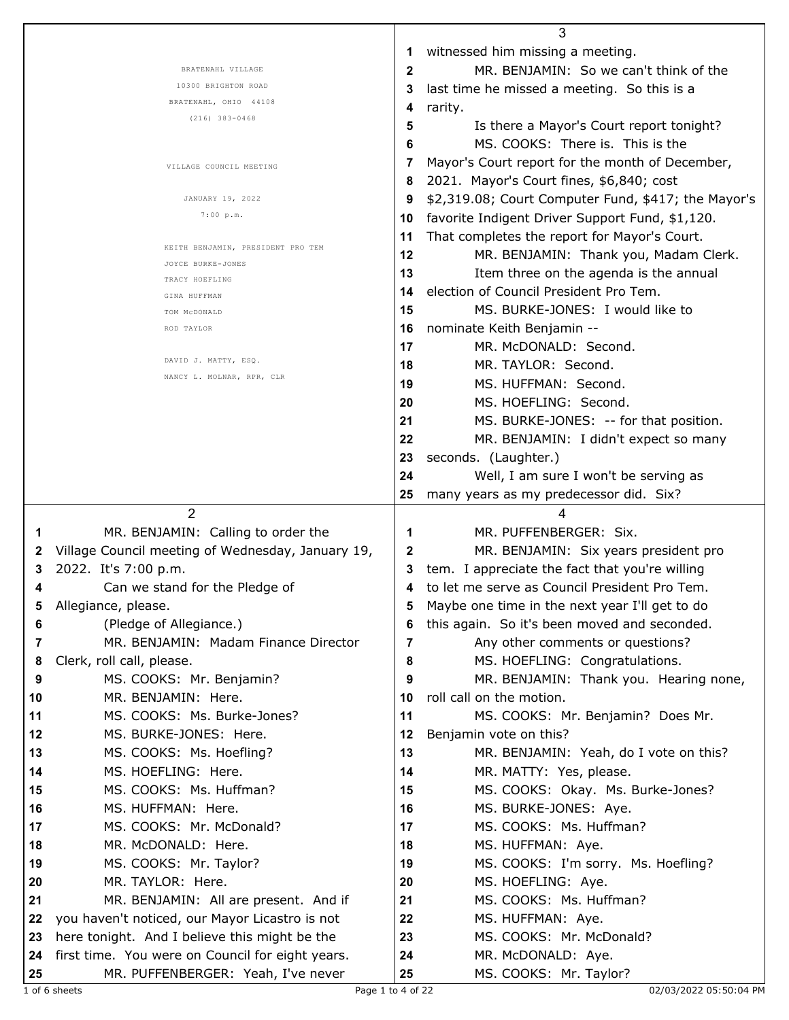|    |                                                                          |    | 3                                                   |
|----|--------------------------------------------------------------------------|----|-----------------------------------------------------|
|    |                                                                          | 1  | witnessed him missing a meeting.                    |
|    | BRATENAHL VILLAGE                                                        | 2  | MR. BENJAMIN: So we can't think of the              |
|    | 10300 BRIGHTON ROAD                                                      | 3  | last time he missed a meeting. So this is a         |
|    | BRATENAHL, OHIO 44108                                                    | 4  | rarity.                                             |
|    | $(216)$ 383-0468                                                         | 5  | Is there a Mayor's Court report tonight?            |
|    |                                                                          | 6  | MS. COOKS: There is. This is the                    |
|    |                                                                          | 7  | Mayor's Court report for the month of December,     |
|    | VILLAGE COUNCIL MEETING                                                  | 8  | 2021. Mayor's Court fines, \$6,840; cost            |
|    | JANUARY 19, 2022                                                         | 9  | \$2,319.08; Court Computer Fund, \$417; the Mayor's |
|    | 7:00 p.m.                                                                | 10 | favorite Indigent Driver Support Fund, \$1,120.     |
|    |                                                                          |    |                                                     |
|    | KEITH BENJAMIN, PRESIDENT PRO TEM                                        | 11 | That completes the report for Mayor's Court.        |
|    | JOYCE BURKE-JONES                                                        | 12 | MR. BENJAMIN: Thank you, Madam Clerk.               |
|    | TRACY HOEFLING                                                           | 13 | Item three on the agenda is the annual              |
|    | GINA HUFFMAN                                                             | 14 | election of Council President Pro Tem.              |
|    | TOM MCDONALD                                                             | 15 | MS. BURKE-JONES: I would like to                    |
|    | ROD TAYLOR                                                               | 16 | nominate Keith Benjamin --                          |
|    |                                                                          | 17 | MR. McDONALD: Second.                               |
|    | DAVID J. MATTY, ESQ.                                                     | 18 | MR. TAYLOR: Second.                                 |
|    | NANCY L. MOLNAR, RPR, CLR                                                | 19 | MS. HUFFMAN: Second.                                |
|    |                                                                          | 20 | MS. HOEFLING: Second.                               |
|    |                                                                          | 21 | MS. BURKE-JONES: -- for that position.              |
|    |                                                                          | 22 | MR. BENJAMIN: I didn't expect so many               |
|    |                                                                          | 23 | seconds. (Laughter.)                                |
|    |                                                                          | 24 | Well, I am sure I won't be serving as               |
|    |                                                                          | 25 | many years as my predecessor did. Six?              |
|    | $\overline{2}$                                                           |    | 4                                                   |
|    | MR. BENJAMIN: Calling to order the                                       | 1  | MR. PUFFENBERGER: Six.                              |
| 1  | Village Council meeting of Wednesday, January 19,                        |    |                                                     |
| 2  |                                                                          | 2  | MR. BENJAMIN: Six years president pro               |
| 3  | 2022. It's 7:00 p.m.                                                     | 3  | tem. I appreciate the fact that you're willing      |
|    | Can we stand for the Pledge of                                           | 4  | to let me serve as Council President Pro Tem.       |
|    | Allegiance, please.                                                      |    | Maybe one time in the next year I'll get to do      |
| 6  | (Pledge of Allegiance.)                                                  | 6  | this again. So it's been moved and seconded.        |
| 7  | MR. BENJAMIN: Madam Finance Director                                     | 7  | Any other comments or questions?                    |
| 8  | Clerk, roll call, please.                                                | 8  | MS. HOEFLING: Congratulations.                      |
| 9  | MS. COOKS: Mr. Benjamin?                                                 | 9  | MR. BENJAMIN: Thank you. Hearing none,              |
| 10 | MR. BENJAMIN: Here.                                                      | 10 | roll call on the motion.                            |
| 11 | MS. COOKS: Ms. Burke-Jones?                                              | 11 | MS. COOKS: Mr. Benjamin? Does Mr.                   |
| 12 | MS. BURKE-JONES: Here.                                                   | 12 | Benjamin vote on this?                              |
| 13 | MS. COOKS: Ms. Hoefling?                                                 | 13 | MR. BENJAMIN: Yeah, do I vote on this?              |
| 14 | MS. HOEFLING: Here.                                                      | 14 | MR. MATTY: Yes, please.                             |
| 15 | MS. COOKS: Ms. Huffman?                                                  | 15 | MS. COOKS: Okay. Ms. Burke-Jones?                   |
| 16 | MS. HUFFMAN: Here.                                                       | 16 | MS. BURKE-JONES: Aye.                               |
| 17 | MS. COOKS: Mr. McDonald?                                                 | 17 | MS. COOKS: Ms. Huffman?                             |
| 18 | MR. McDONALD: Here.                                                      | 18 | MS. HUFFMAN: Aye.                                   |
| 19 | MS. COOKS: Mr. Taylor?                                                   | 19 | MS. COOKS: I'm sorry. Ms. Hoefling?                 |
| 20 | MR. TAYLOR: Here.                                                        | 20 | MS. HOEFLING: Aye.                                  |
| 21 | MR. BENJAMIN: All are present. And if                                    | 21 | MS. COOKS: Ms. Huffman?                             |
| 22 | you haven't noticed, our Mayor Licastro is not                           | 22 | MS. HUFFMAN: Aye.                                   |
|    |                                                                          |    |                                                     |
| 23 | here tonight. And I believe this might be the                            | 23 | MS. COOKS: Mr. McDonald?                            |
|    |                                                                          |    |                                                     |
| 24 | first time. You were on Council for eight years.                         | 24 | MR. McDONALD: Aye.                                  |
| 25 | MR. PUFFENBERGER: Yeah, I've never<br>1 of 6 sheets<br>Page 1 to 4 of 22 | 25 | MS. COOKS: Mr. Taylor?<br>02/03/2022 05:50:04 PI    |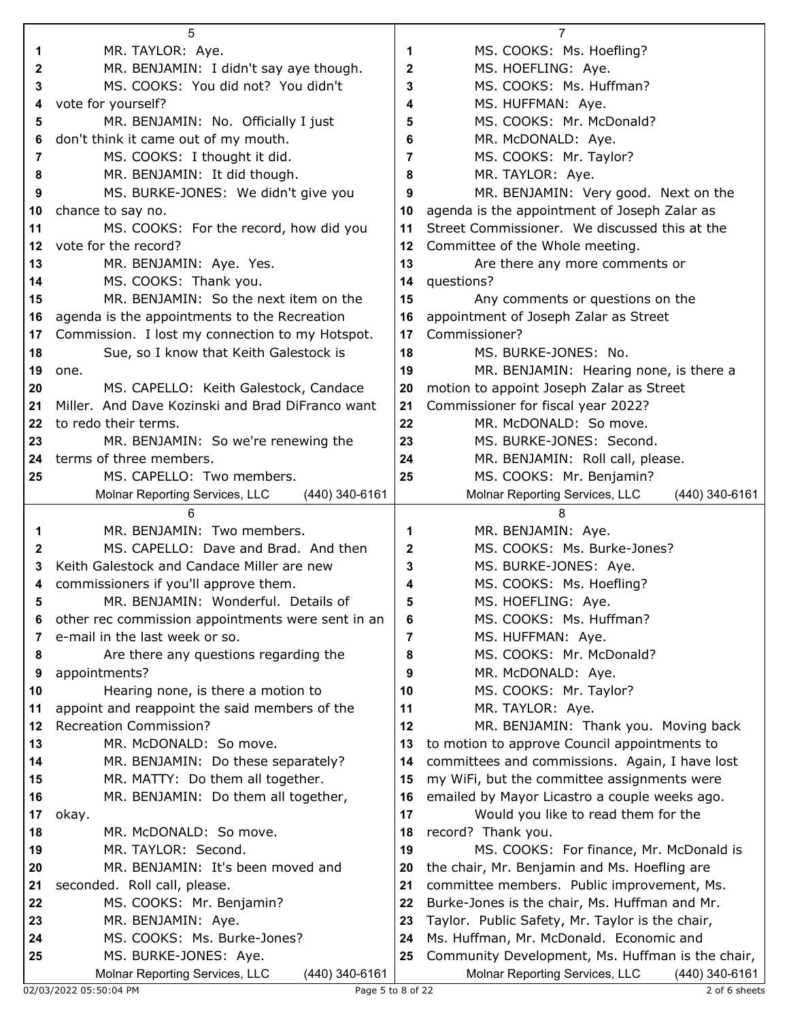|                   | 5                                                                         |              | 7                                                                                                    |
|-------------------|---------------------------------------------------------------------------|--------------|------------------------------------------------------------------------------------------------------|
| 1                 | MR. TAYLOR: Aye.                                                          | 1            | MS. COOKS: Ms. Hoefling?                                                                             |
| 2                 | MR. BENJAMIN: I didn't say aye though.                                    | 2            | MS. HOEFLING: Aye.                                                                                   |
| 3                 | MS. COOKS: You did not? You didn't                                        | 3            | MS. COOKS: Ms. Huffman?                                                                              |
| 4                 | vote for yourself?                                                        | 4            | MS. HUFFMAN: Aye.                                                                                    |
| 5                 | MR. BENJAMIN: No. Officially I just                                       | 5            | MS. COOKS: Mr. McDonald?                                                                             |
| 6                 | don't think it came out of my mouth.                                      | 6            | MR. McDONALD: Aye.                                                                                   |
| 7                 | MS. COOKS: I thought it did.                                              | 7            | MS. COOKS: Mr. Taylor?                                                                               |
| 8                 | MR. BENJAMIN: It did though.                                              | 8            | MR. TAYLOR: Aye.                                                                                     |
| 9                 | MS. BURKE-JONES: We didn't give you                                       | 9            | MR. BENJAMIN: Very good. Next on the                                                                 |
| 10                | chance to say no.                                                         | 10           | agenda is the appointment of Joseph Zalar as                                                         |
| 11                | MS. COOKS: For the record, how did you                                    | 11           | Street Commissioner. We discussed this at the                                                        |
| $12 \overline{ }$ | vote for the record?                                                      | 12           | Committee of the Whole meeting.                                                                      |
| 13                | MR. BENJAMIN: Aye. Yes.                                                   | 13           | Are there any more comments or                                                                       |
| 14                | MS. COOKS: Thank you.                                                     | 14           | questions?                                                                                           |
| 15                | MR. BENJAMIN: So the next item on the                                     | 15           | Any comments or questions on the                                                                     |
|                   |                                                                           |              | appointment of Joseph Zalar as Street                                                                |
| 16                | agenda is the appointments to the Recreation                              | 16<br>17     | Commissioner?                                                                                        |
| 17                | Commission. I lost my connection to my Hotspot.                           | 18           | MS. BURKE-JONES: No.                                                                                 |
| 18                | Sue, so I know that Keith Galestock is                                    |              |                                                                                                      |
| 19                | one.                                                                      | 19           | MR. BENJAMIN: Hearing none, is there a                                                               |
| 20                | MS. CAPELLO: Keith Galestock, Candace                                     | 20           | motion to appoint Joseph Zalar as Street                                                             |
| 21                | Miller. And Dave Kozinski and Brad DiFranco want                          | 21           | Commissioner for fiscal year 2022?                                                                   |
| 22                | to redo their terms.                                                      | 22           | MR. McDONALD: So move.                                                                               |
| 23                | MR. BENJAMIN: So we're renewing the                                       | 23           | MS. BURKE-JONES: Second.                                                                             |
| 24                | terms of three members.                                                   | 24           | MR. BENJAMIN: Roll call, please.                                                                     |
| 25                | MS. CAPELLO: Two members.                                                 | 25           | MS. COOKS: Mr. Benjamin?                                                                             |
|                   | Molnar Reporting Services, LLC<br>(440) 340-6161                          |              | Molnar Reporting Services, LLC<br>(440) 340-6161                                                     |
|                   |                                                                           |              |                                                                                                      |
|                   | 6                                                                         |              | 8                                                                                                    |
| 1                 | MR. BENJAMIN: Two members.                                                | 1            | MR. BENJAMIN: Aye.                                                                                   |
| 2                 | MS. CAPELLO: Dave and Brad. And then                                      | $\mathbf{2}$ | MS. COOKS: Ms. Burke-Jones?                                                                          |
| 3                 | Keith Galestock and Candace Miller are new                                | 3            | MS. BURKE-JONES: Aye.                                                                                |
| 4                 | commissioners if you'll approve them.                                     | 4            | MS. COOKS: Ms. Hoefling?                                                                             |
|                   | MR. BENJAMIN: Wonderful. Details of                                       | จ            | MS. HOEFLING: Aye.                                                                                   |
| 6                 | other rec commission appointments were sent in an                         | 6            | MS. COOKS: Ms. Huffman?                                                                              |
| 7                 | e-mail in the last week or so.                                            | 7            | MS. HUFFMAN: Aye.                                                                                    |
| 8                 | Are there any questions regarding the                                     | 8            | MS. COOKS: Mr. McDonald?                                                                             |
| 9                 | appointments?                                                             | 9            | MR. McDONALD: Aye.                                                                                   |
| 10                | Hearing none, is there a motion to                                        | 10           | MS. COOKS: Mr. Taylor?                                                                               |
| 11                | appoint and reappoint the said members of the                             | 11           | MR. TAYLOR: Aye.                                                                                     |
| 12                | <b>Recreation Commission?</b>                                             | 12           | MR. BENJAMIN: Thank you. Moving back                                                                 |
| 13                | MR. McDONALD: So move.                                                    | 13           | to motion to approve Council appointments to                                                         |
| 14                | MR. BENJAMIN: Do these separately?                                        | 14           | committees and commissions. Again, I have lost                                                       |
| 15                | MR. MATTY: Do them all together.                                          | 15           | my WiFi, but the committee assignments were                                                          |
| 16                | MR. BENJAMIN: Do them all together,                                       | 16           | emailed by Mayor Licastro a couple weeks ago.                                                        |
| 17                | okay.                                                                     | 17           | Would you like to read them for the                                                                  |
| 18                | MR. McDONALD: So move.                                                    | 18           | record? Thank you.                                                                                   |
| 19                | MR. TAYLOR: Second.                                                       | 19           | MS. COOKS: For finance, Mr. McDonald is                                                              |
| 20                | MR. BENJAMIN: It's been moved and                                         | 20           | the chair, Mr. Benjamin and Ms. Hoefling are                                                         |
| 21                | seconded. Roll call, please.                                              | 21           | committee members. Public improvement, Ms.                                                           |
| 22                | MS. COOKS: Mr. Benjamin?                                                  | 22           | Burke-Jones is the chair, Ms. Huffman and Mr.                                                        |
| 23                | MR. BENJAMIN: Aye.                                                        | 23           | Taylor. Public Safety, Mr. Taylor is the chair,                                                      |
| 24                | MS. COOKS: Ms. Burke-Jones?                                               | 24           | Ms. Huffman, Mr. McDonald. Economic and                                                              |
| 25                | MS. BURKE-JONES: Aye.<br>Molnar Reporting Services, LLC<br>(440) 340-6161 | 25           | Community Development, Ms. Huffman is the chair,<br>Molnar Reporting Services, LLC<br>(440) 340-6161 |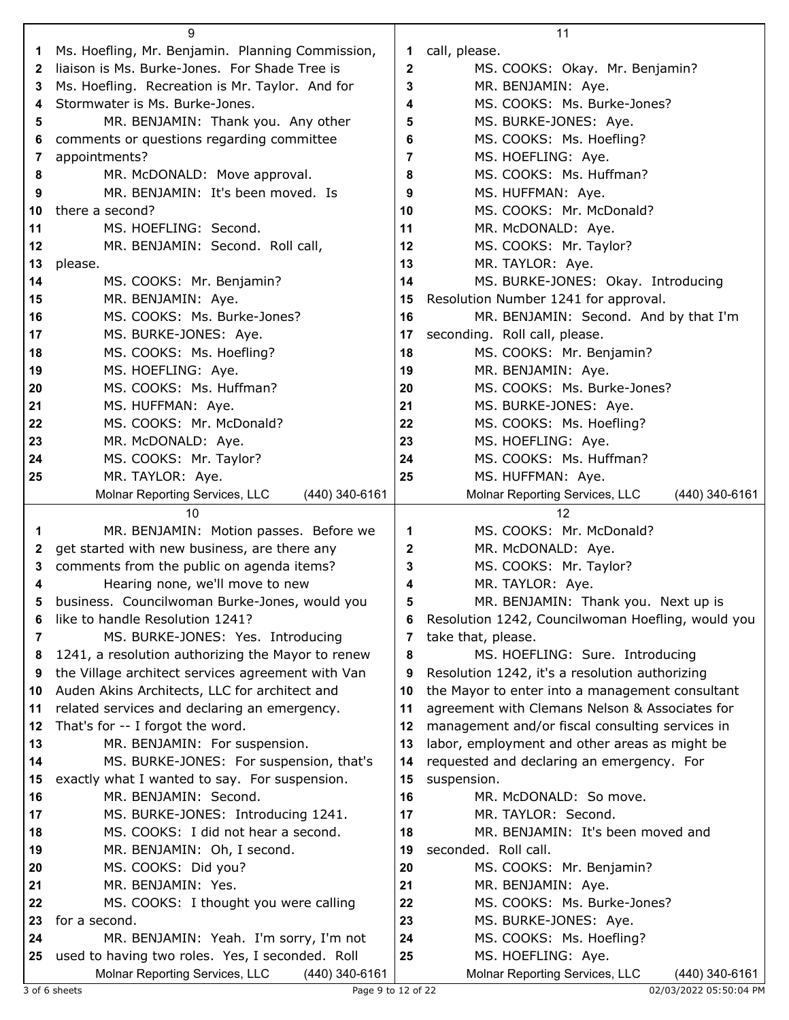|    | 9                                                 |              | 11                                                |
|----|---------------------------------------------------|--------------|---------------------------------------------------|
| 1. | Ms. Hoefling, Mr. Benjamin. Planning Commission,  | 1            | call, please.                                     |
| 2  | liaison is Ms. Burke-Jones. For Shade Tree is     | $\mathbf{2}$ | MS. COOKS: Okay. Mr. Benjamin?                    |
| 3  | Ms. Hoefling. Recreation is Mr. Taylor. And for   | 3            | MR. BENJAMIN: Aye.                                |
| 4  | Stormwater is Ms. Burke-Jones.                    | 4            | MS. COOKS: Ms. Burke-Jones?                       |
| 5  | MR. BENJAMIN: Thank you. Any other                | 5            | MS. BURKE-JONES: Aye.                             |
| 6  | comments or questions regarding committee         | 6            | MS. COOKS: Ms. Hoefling?                          |
| 7  | appointments?                                     | 7            | MS. HOEFLING: Aye.                                |
| 8  | MR. McDONALD: Move approval.                      | 8            | MS. COOKS: Ms. Huffman?                           |
| 9  | MR. BENJAMIN: It's been moved. Is                 | 9            | MS. HUFFMAN: Aye.                                 |
| 10 | there a second?                                   | 10           | MS. COOKS: Mr. McDonald?                          |
| 11 | MS. HOEFLING: Second.                             | 11           | MR. McDONALD: Aye.                                |
| 12 | MR. BENJAMIN: Second. Roll call,                  | 12           | MS. COOKS: Mr. Taylor?                            |
| 13 | please.                                           | 13           | MR. TAYLOR: Aye.                                  |
| 14 | MS. COOKS: Mr. Benjamin?                          | 14           | MS. BURKE-JONES: Okay. Introducing                |
| 15 | MR. BENJAMIN: Aye.                                | 15           | Resolution Number 1241 for approval.              |
|    | MS. COOKS: Ms. Burke-Jones?                       | 16           | MR. BENJAMIN: Second. And by that I'm             |
| 16 |                                                   |              |                                                   |
| 17 | MS. BURKE-JONES: Aye.                             | 17           | seconding. Roll call, please.                     |
| 18 | MS. COOKS: Ms. Hoefling?                          | 18           | MS. COOKS: Mr. Benjamin?                          |
| 19 | MS. HOEFLING: Aye.                                | 19           | MR. BENJAMIN: Aye.                                |
| 20 | MS. COOKS: Ms. Huffman?                           | 20           | MS. COOKS: Ms. Burke-Jones?                       |
| 21 | MS. HUFFMAN: Aye.                                 | 21           | MS. BURKE-JONES: Aye.                             |
| 22 | MS. COOKS: Mr. McDonald?                          | 22           | MS. COOKS: Ms. Hoefling?                          |
| 23 | MR. McDONALD: Aye.                                | 23           | MS. HOEFLING: Aye.                                |
| 24 | MS. COOKS: Mr. Taylor?                            | 24           | MS. COOKS: Ms. Huffman?                           |
| 25 | MR. TAYLOR: Aye.                                  | 25           | MS. HUFFMAN: Aye.                                 |
|    | (440) 340-6161                                    |              |                                                   |
|    | Molnar Reporting Services, LLC                    |              | (440) 340-6161<br>Molnar Reporting Services, LLC  |
|    | 10                                                |              | 12                                                |
| 1  | MR. BENJAMIN: Motion passes. Before we            | 1            | MS. COOKS: Mr. McDonald?                          |
| 2  | get started with new business, are there any      | 2            | MR. McDONALD: Aye.                                |
| 3  | comments from the public on agenda items?         | 3            | MS. COOKS: Mr. Taylor?                            |
| 4  | Hearing none, we'll move to new                   | 4            | MR. TAYLOR: Aye.                                  |
|    | business. Councilwoman Burke-Jones, would you     | 5            | MR. BENJAMIN: Thank you. Next up is               |
| 6  | like to handle Resolution 1241?                   | 6            | Resolution 1242, Councilwoman Hoefling, would you |
| 7  | MS. BURKE-JONES: Yes. Introducing                 | 7            | take that, please.                                |
| 8  | 1241, a resolution authorizing the Mayor to renew | 8            | MS. HOEFLING: Sure. Introducing                   |
| 9  | the Village architect services agreement with Van | 9            | Resolution 1242, it's a resolution authorizing    |
| 10 | Auden Akins Architects, LLC for architect and     | 10           | the Mayor to enter into a management consultant   |
| 11 | related services and declaring an emergency.      | 11           | agreement with Clemans Nelson & Associates for    |
| 12 | That's for -- I forgot the word.                  | 12           | management and/or fiscal consulting services in   |
| 13 | MR. BENJAMIN: For suspension.                     | 13           | labor, employment and other areas as might be     |
| 14 | MS. BURKE-JONES: For suspension, that's           | 14           | requested and declaring an emergency. For         |
| 15 | exactly what I wanted to say. For suspension.     | 15           | suspension.                                       |
| 16 | MR. BENJAMIN: Second.                             | 16           | MR. McDONALD: So move.                            |
| 17 | MS. BURKE-JONES: Introducing 1241.                | 17           | MR. TAYLOR: Second.                               |
| 18 | MS. COOKS: I did not hear a second.               | 18           | MR. BENJAMIN: It's been moved and                 |
| 19 | MR. BENJAMIN: Oh, I second.                       | 19           | seconded. Roll call.                              |
| 20 | MS. COOKS: Did you?                               | 20           | MS. COOKS: Mr. Benjamin?                          |
| 21 | MR. BENJAMIN: Yes.                                | 21           | MR. BENJAMIN: Aye.                                |
| 22 | MS. COOKS: I thought you were calling             | 22           | MS. COOKS: Ms. Burke-Jones?                       |
| 23 | for a second.                                     | 23           | MS. BURKE-JONES: Aye.                             |
| 24 | MR. BENJAMIN: Yeah. I'm sorry, I'm not            | 24           | MS. COOKS: Ms. Hoefling?                          |
| 25 | used to having two roles. Yes, I seconded. Roll   | 25           | MS. HOEFLING: Aye.                                |

3 of 6 sheets Page 9 to 12 of 22 02/03/2022 05:50:04 PM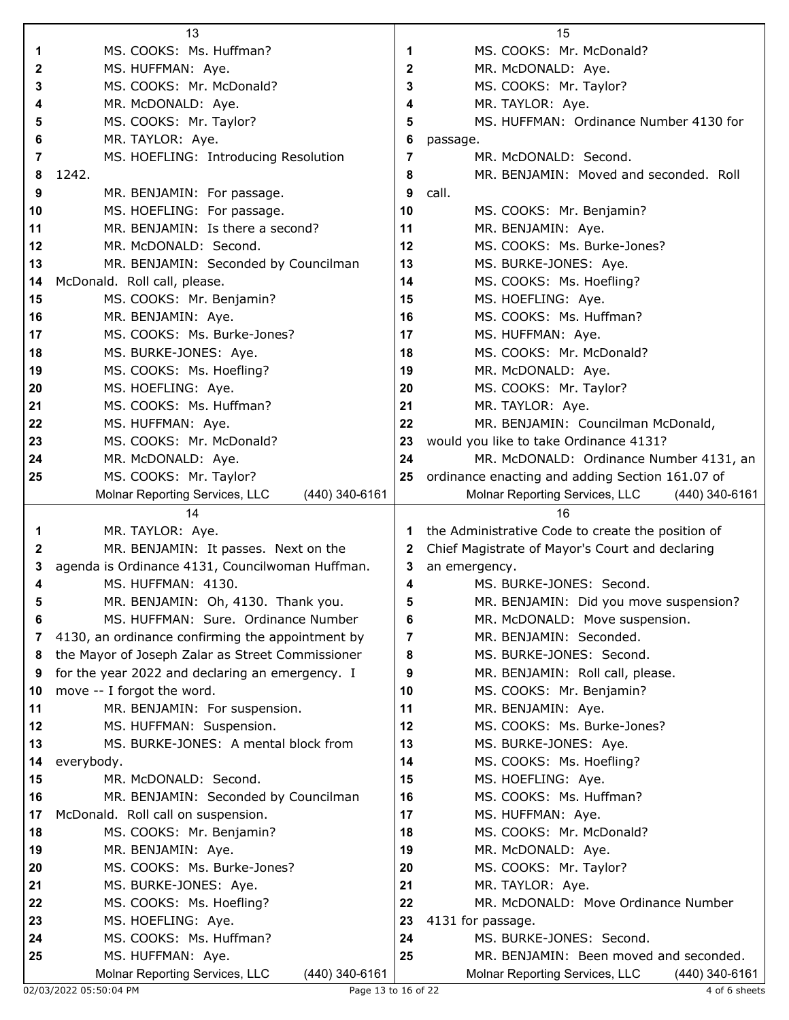| 13<br>15                                                                                                                                                      |                |
|---------------------------------------------------------------------------------------------------------------------------------------------------------------|----------------|
| MS. COOKS: Ms. Huffman?<br>MS. COOKS: Mr. McDonald?<br>1<br>1                                                                                                 |                |
| 2<br>2<br>MS. HUFFMAN: Aye.<br>MR. McDONALD: Aye.                                                                                                             |                |
| MS. COOKS: Mr. McDonald?<br>MS. COOKS: Mr. Taylor?<br>3<br>3                                                                                                  |                |
| MR. McDONALD: Aye.<br>MR. TAYLOR: Aye.<br>4<br>4                                                                                                              |                |
| MS. HUFFMAN: Ordinance Number 4130 for<br>MS. COOKS: Mr. Taylor?<br>5<br>5                                                                                    |                |
| 6<br>MR. TAYLOR: Aye.<br>6<br>passage.                                                                                                                        |                |
| MS. HOEFLING: Introducing Resolution<br>MR. McDONALD: Second.<br>7<br>7                                                                                       |                |
| 1242.<br>MR. BENJAMIN: Moved and seconded. Roll<br>8<br>8                                                                                                     |                |
| 9<br>9<br>call.<br>MR. BENJAMIN: For passage.                                                                                                                 |                |
| 10<br>MS. HOEFLING: For passage.<br>10<br>MS. COOKS: Mr. Benjamin?                                                                                            |                |
| 11<br>MR. BENJAMIN: Is there a second?<br>MR. BENJAMIN: Aye.<br>11                                                                                            |                |
| 12<br>MR. McDONALD: Second.<br>MS. COOKS: Ms. Burke-Jones?<br>12                                                                                              |                |
| 13<br>MR. BENJAMIN: Seconded by Councilman<br>13<br>MS. BURKE-JONES: Aye.                                                                                     |                |
| MS. COOKS: Ms. Hoefling?<br>McDonald. Roll call, please.<br>14<br>14                                                                                          |                |
| 15<br>MS. COOKS: Mr. Benjamin?<br>15<br>MS. HOEFLING: Aye.                                                                                                    |                |
| 16<br>MS. COOKS: Ms. Huffman?<br>16                                                                                                                           |                |
| MR. BENJAMIN: Aye.<br>MS. COOKS: Ms. Burke-Jones?                                                                                                             |                |
| 17<br>17<br>MS. HUFFMAN: Aye.<br>MS. COOKS: Mr. McDonald?                                                                                                     |                |
| 18<br>MS. BURKE-JONES: Aye.<br>18                                                                                                                             |                |
| MS. COOKS: Ms. Hoefling?<br>19<br>MR. McDONALD: Aye.<br>19                                                                                                    |                |
| MS. HOEFLING: Aye.<br>20<br>MS. COOKS: Mr. Taylor?<br>20                                                                                                      |                |
| MS. COOKS: Ms. Huffman?<br>21<br>MR. TAYLOR: Aye.<br>21                                                                                                       |                |
| 22<br>22<br>MR. BENJAMIN: Councilman McDonald,<br>MS. HUFFMAN: Aye.                                                                                           |                |
| 23<br>MS. COOKS: Mr. McDonald?<br>23<br>would you like to take Ordinance 4131?                                                                                |                |
| 24<br>MR. McDONALD: Ordinance Number 4131, an<br>24<br>MR. McDONALD: Aye.                                                                                     |                |
| 25<br>MS. COOKS: Mr. Taylor?<br>ordinance enacting and adding Section 161.07 of<br>25                                                                         |                |
| Molnar Reporting Services, LLC<br>(440) 340-6161<br>Molnar Reporting Services, LLC                                                                            | (440) 340-6161 |
| 14<br>16                                                                                                                                                      |                |
| MR. TAYLOR: Aye.<br>the Administrative Code to create the position of<br>1<br>1.                                                                              |                |
| $\mathbf{2}$<br>MR. BENJAMIN: It passes. Next on the<br>Chief Magistrate of Mayor's Court and declaring<br>2                                                  |                |
| agenda is Ordinance 4131, Councilwoman Huffman.<br>3<br>an emergency.<br>3                                                                                    |                |
| MS. HUFFMAN: 4130.<br>MS. BURKE-JONES: Second.<br>4<br>4                                                                                                      |                |
|                                                                                                                                                               |                |
| MR. BENJAMIN: Oh, 4130. Thank you.<br>MR. BENJAMIN: Did you move suspension?<br>ວ<br>ວ                                                                        |                |
| MS. HUFFMAN: Sure. Ordinance Number<br>6<br>MR. McDONALD: Move suspension.<br>6                                                                               |                |
| 4130, an ordinance confirming the appointment by<br>7<br>MR. BENJAMIN: Seconded.<br>7                                                                         |                |
| the Mayor of Joseph Zalar as Street Commissioner<br>MS. BURKE-JONES: Second.<br>8<br>8                                                                        |                |
| for the year 2022 and declaring an emergency. I<br>MR. BENJAMIN: Roll call, please.<br>9<br>9                                                                 |                |
| move -- I forgot the word.<br>10<br>MS. COOKS: Mr. Benjamin?<br>10                                                                                            |                |
| 11<br>MR. BENJAMIN: For suspension.<br>11                                                                                                                     |                |
| MR. BENJAMIN: Aye.<br>12<br>MS. HUFFMAN: Suspension.<br>12<br>MS. COOKS: Ms. Burke-Jones?                                                                     |                |
| 13<br>13                                                                                                                                                      |                |
| MS. BURKE-JONES: A mental block from<br>MS. BURKE-JONES: Aye.<br>14                                                                                           |                |
| MS. COOKS: Ms. Hoefling?<br>14<br>everybody.<br>15                                                                                                            |                |
| MR. McDONALD: Second.<br>MS. HOEFLING: Aye.<br>15                                                                                                             |                |
| MR. BENJAMIN: Seconded by Councilman<br>MS. COOKS: Ms. Huffman?<br>16<br>16                                                                                   |                |
| McDonald. Roll call on suspension.<br>17<br>MS. HUFFMAN: Aye.<br>17                                                                                           |                |
| MS. COOKS: Mr. McDonald?<br>18<br>MS. COOKS: Mr. Benjamin?<br>18                                                                                              |                |
| 19<br>MR. BENJAMIN: Aye.<br>19<br>MR. McDONALD: Aye.                                                                                                          |                |
| MS. COOKS: Ms. Burke-Jones?<br>MS. COOKS: Mr. Taylor?<br>20<br>20                                                                                             |                |
| MS. BURKE-JONES: Aye.<br>MR. TAYLOR: Aye.<br>21<br>21                                                                                                         |                |
| 22<br>MR. McDONALD: Move Ordinance Number<br>22<br>MS. COOKS: Ms. Hoefling?                                                                                   |                |
| 23<br>MS. HOEFLING: Aye.<br>23<br>4131 for passage.                                                                                                           |                |
| MS. COOKS: Ms. Huffman?<br>24<br>MS. BURKE-JONES: Second.<br>24                                                                                               |                |
| 25<br>MR. BENJAMIN: Been moved and seconded.<br>25<br>MS. HUFFMAN: Aye.<br>Molnar Reporting Services, LLC<br>(440) 340-6161<br>Molnar Reporting Services, LLC | (440) 340-6161 |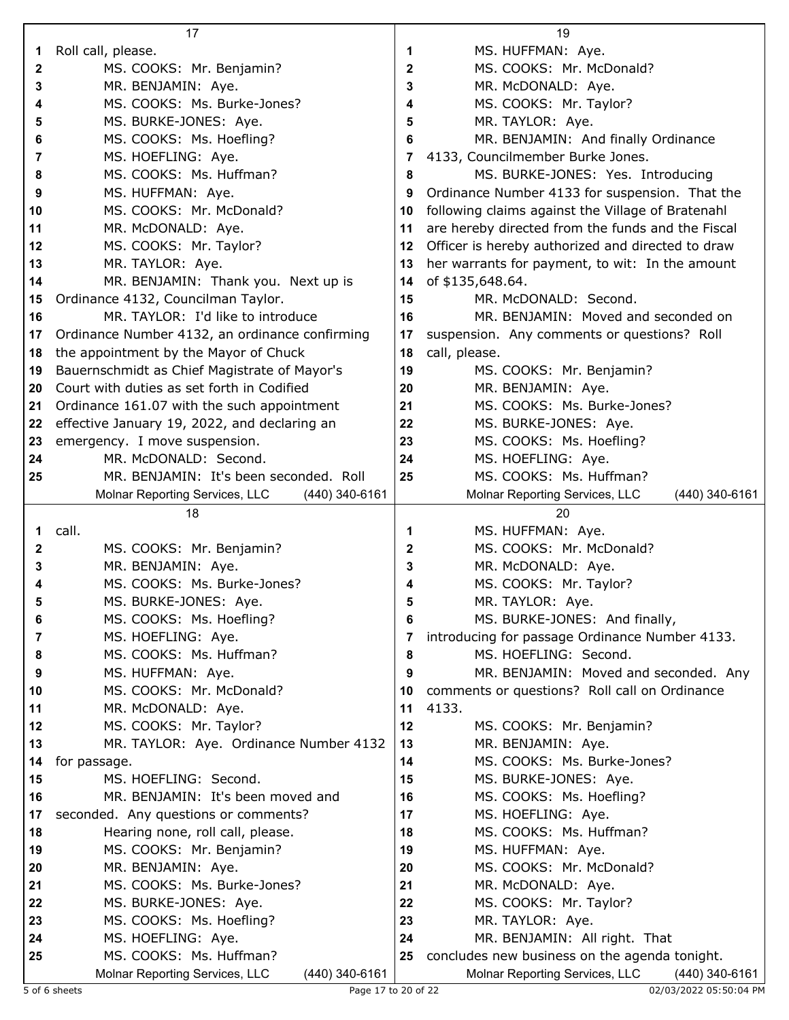|          | 17                                                |          | 19                                                |
|----------|---------------------------------------------------|----------|---------------------------------------------------|
| 1        | Roll call, please.                                | 1        | MS. HUFFMAN: Aye.                                 |
| 2        | MS. COOKS: Mr. Benjamin?                          | 2        | MS. COOKS: Mr. McDonald?                          |
| 3        | MR. BENJAMIN: Aye.                                | 3        | MR. McDONALD: Aye.                                |
| 4        | MS. COOKS: Ms. Burke-Jones?                       | 4        | MS. COOKS: Mr. Taylor?                            |
| 5        | MS. BURKE-JONES: Aye.                             | 5        | MR. TAYLOR: Aye.                                  |
| 6        | MS. COOKS: Ms. Hoefling?                          | 6        | MR. BENJAMIN: And finally Ordinance               |
| 7        | MS. HOEFLING: Aye.                                | 7        | 4133, Councilmember Burke Jones.                  |
| 8        | MS. COOKS: Ms. Huffman?                           | 8        | MS. BURKE-JONES: Yes. Introducing                 |
| 9        | MS. HUFFMAN: Aye.                                 | 9        | Ordinance Number 4133 for suspension. That the    |
| 10       | MS. COOKS: Mr. McDonald?                          | 10       | following claims against the Village of Bratenahl |
| 11       | MR. McDONALD: Aye.                                | 11       | are hereby directed from the funds and the Fiscal |
| 12       | MS. COOKS: Mr. Taylor?                            | 12       | Officer is hereby authorized and directed to draw |
| 13       | MR. TAYLOR: Aye.                                  | 13       | her warrants for payment, to wit: In the amount   |
| 14       | MR. BENJAMIN: Thank you. Next up is               | 14       | of \$135,648.64.                                  |
| 15       | Ordinance 4132, Councilman Taylor.                | 15       | MR. McDONALD: Second.                             |
| 16       | MR. TAYLOR: I'd like to introduce                 | 16       | MR. BENJAMIN: Moved and seconded on               |
| 17       | Ordinance Number 4132, an ordinance confirming    | 17       | suspension. Any comments or questions? Roll       |
| 18       | the appointment by the Mayor of Chuck             | 18       | call, please.                                     |
| 19       | Bauernschmidt as Chief Magistrate of Mayor's      | 19       | MS. COOKS: Mr. Benjamin?                          |
| 20       | Court with duties as set forth in Codified        | 20       | MR. BENJAMIN: Aye.                                |
| 21       | Ordinance 161.07 with the such appointment        | 21       | MS. COOKS: Ms. Burke-Jones?                       |
| 22       | effective January 19, 2022, and declaring an      | 22       | MS. BURKE-JONES: Aye.                             |
| 23       | emergency. I move suspension.                     | 23       | MS. COOKS: Ms. Hoefling?                          |
| 24       | MR. McDONALD: Second.                             | 24       | MS. HOEFLING: Aye.                                |
| 25       | MR. BENJAMIN: It's been seconded. Roll            | 25       | MS. COOKS: Ms. Huffman?                           |
|          | Molnar Reporting Services, LLC<br>(440) 340-6161  |          | Molnar Reporting Services, LLC<br>(440) 340-6161  |
|          | 18                                                |          |                                                   |
|          |                                                   |          | 20                                                |
| 1        | call.                                             | 1        | MS. HUFFMAN: Aye.                                 |
| 2        | MS. COOKS: Mr. Benjamin?                          | 2        | MS. COOKS: Mr. McDonald?                          |
| 3        | MR. BENJAMIN: Aye.                                | 3        | MR. McDONALD: Aye.                                |
| 4        | MS. COOKS: Ms. Burke-Jones?                       | 4        | MS. COOKS: Mr. Taylor?                            |
| 5        | MS. BURKE-JONES: Aye.                             | 5        | MR. TAYLOR: Aye.                                  |
| 6        | MS. COOKS: Ms. Hoefling?                          | 6        | MS. BURKE-JONES: And finally,                     |
| 7        | MS. HOEFLING: Aye.                                | 7        | introducing for passage Ordinance Number 4133.    |
| 8        | MS. COOKS: Ms. Huffman?                           | 8        | MS. HOEFLING: Second.                             |
| 9        | MS. HUFFMAN: Aye.                                 | 9        | MR. BENJAMIN: Moved and seconded. Any             |
| 10       | MS. COOKS: Mr. McDonald?                          | 10       | comments or questions? Roll call on Ordinance     |
| 11       | MR. McDONALD: Aye.                                | 11       | 4133.                                             |
| 12       | MS. COOKS: Mr. Taylor?                            | 12       | MS. COOKS: Mr. Benjamin?                          |
| 13       | MR. TAYLOR: Aye. Ordinance Number 4132            | 13       | MR. BENJAMIN: Aye.                                |
| 14       | for passage.                                      | 14       | MS. COOKS: Ms. Burke-Jones?                       |
| 15       | MS. HOEFLING: Second.                             | 15       | MS. BURKE-JONES: Aye.                             |
| 16       | MR. BENJAMIN: It's been moved and                 | 16       | MS. COOKS: Ms. Hoefling?                          |
| 17       | seconded. Any questions or comments?              | 17       | MS. HOEFLING: Aye.                                |
| 18       | Hearing none, roll call, please.                  | 18       | MS. COOKS: Ms. Huffman?                           |
| 19       | MS. COOKS: Mr. Benjamin?                          | 19       | MS. HUFFMAN: Aye.                                 |
| 20       | MR. BENJAMIN: Aye.                                | 20       | MS. COOKS: Mr. McDonald?                          |
| 21<br>22 | MS. COOKS: Ms. Burke-Jones?                       | 21<br>22 | MR. McDONALD: Aye.                                |
| 23       | MS. BURKE-JONES: Aye.<br>MS. COOKS: Ms. Hoefling? | 23       | MS. COOKS: Mr. Taylor?<br>MR. TAYLOR: Aye.        |
| 24       | MS. HOEFLING: Aye.                                | 24       | MR. BENJAMIN: All right. That                     |
| 25       | MS. COOKS: Ms. Huffman?                           | 25       | concludes new business on the agenda tonight.     |